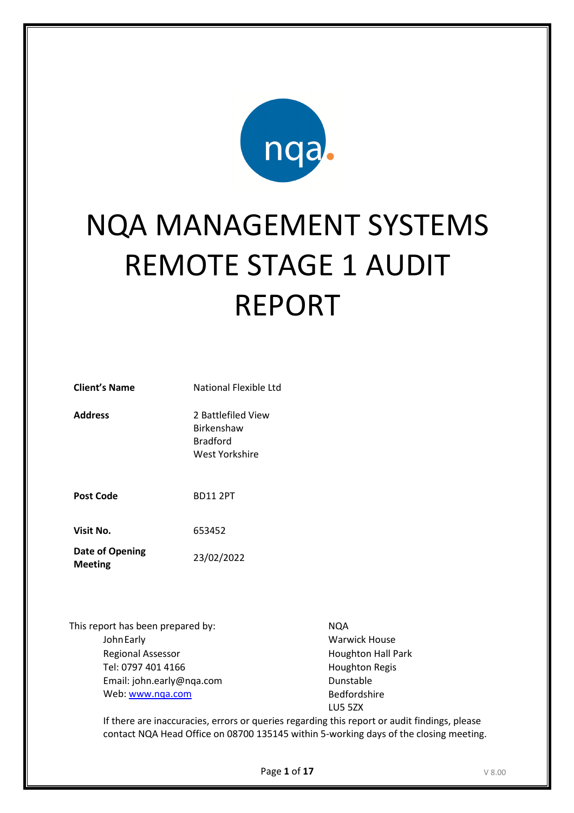

# NQA MANAGEMENT SYSTEMS REMOTE STAGE 1 AUDIT REPORT

| <b>Client's Name</b>                           | National Flexible Ltd                                                        |
|------------------------------------------------|------------------------------------------------------------------------------|
| <b>Address</b>                                 | 2 Battlefiled View<br><b>Birkenshaw</b><br><b>Bradford</b><br>West Yorkshire |
| <b>Post Code</b>                               | <b>BD11 2PT</b>                                                              |
| Visit No.<br>Date of Opening<br><b>Meeting</b> | 653452<br>23/02/2022                                                         |
|                                                |                                                                              |

This report has been prepared by: JohnEarly Regional Assessor Tel: 0797 401 4166 Email: john.early@nqa.com Web: www.nqa.com

NQA Warwick House Houghton Hall Park Houghton Regis Dunstable Bedfordshire LU5 5ZX

If there are inaccuracies, errors or queries regarding this report or audit findings, please contact NQA Head Office on 08700 135145 within 5-working days of the closing meeting.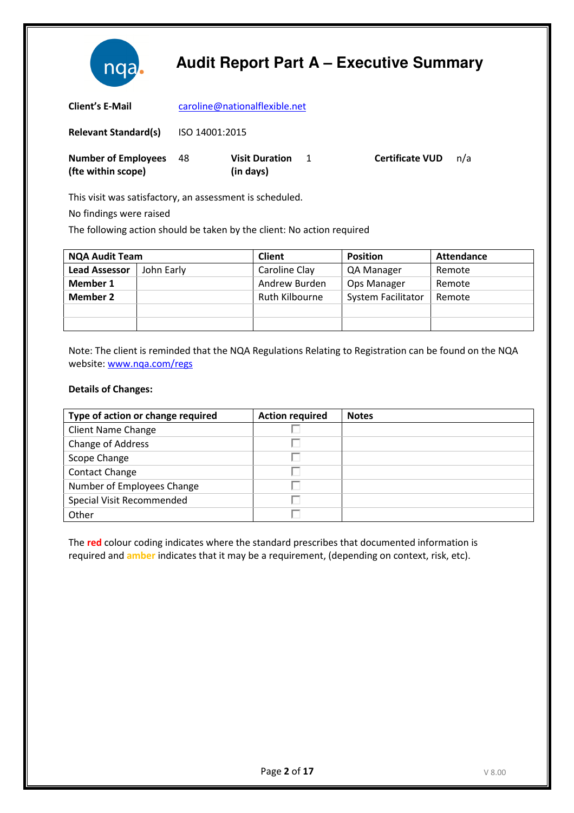

| <b>Client's E-Mail</b>                           | caroline@nationalflexible.net |                                    |    |                        |     |
|--------------------------------------------------|-------------------------------|------------------------------------|----|------------------------|-----|
| <b>Relevant Standard(s)</b>                      | ISO 14001:2015                |                                    |    |                        |     |
| <b>Number of Employees</b><br>(fte within scope) | 48                            | <b>Visit Duration</b><br>(in days) | -1 | <b>Certificate VUD</b> | n/a |

This visit was satisfactory, an assessment is scheduled.

No findings were raised

The following action should be taken by the client: No action required

| <b>NQA Audit Team</b> |            | <b>Client</b>  | <b>Position</b>           | Attendance |
|-----------------------|------------|----------------|---------------------------|------------|
| <b>Lead Assessor</b>  | John Early | Caroline Clay  | QA Manager                | Remote     |
| Member 1              |            | Andrew Burden  | Ops Manager               | Remote     |
| Member 2              |            | Ruth Kilbourne | <b>System Facilitator</b> | Remote     |
|                       |            |                |                           |            |
|                       |            |                |                           |            |

Note: The client is reminded that the NQA Regulations Relating to Registration can be found on the NQA website: www.nqa.com/regs

### Details of Changes:

| Type of action or change required | <b>Action required</b> | <b>Notes</b> |
|-----------------------------------|------------------------|--------------|
| <b>Client Name Change</b>         |                        |              |
| <b>Change of Address</b>          |                        |              |
| Scope Change                      |                        |              |
| <b>Contact Change</b>             |                        |              |
| Number of Employees Change        |                        |              |
| Special Visit Recommended         |                        |              |
| Other                             |                        |              |

The red colour coding indicates where the standard prescribes that documented information is required and *amber* indicates that it may be a requirement, (depending on context, risk, etc).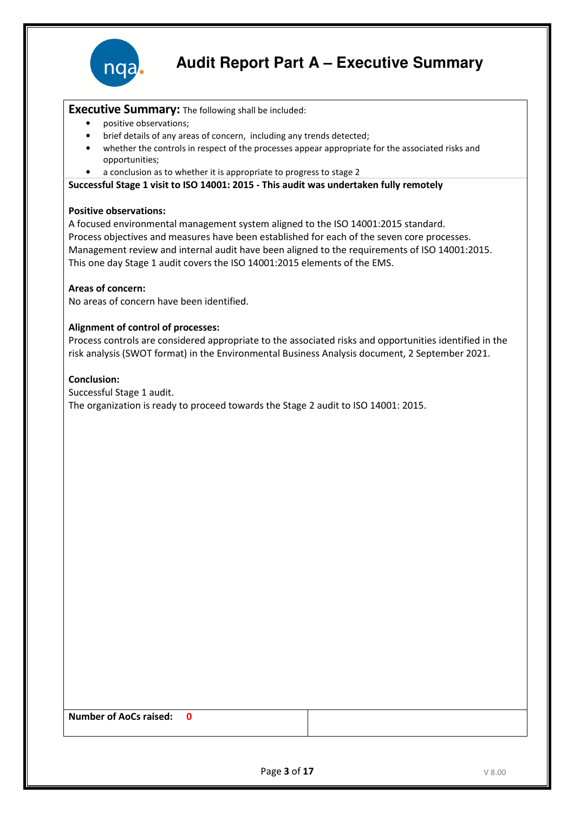

### **Executive Summary:** The following shall be included:

- positive observations;
- brief details of any areas of concern, including any trends detected;
- whether the controls in respect of the processes appear appropriate for the associated risks and opportunities;
- a conclusion as to whether it is appropriate to progress to stage 2

Successful Stage 1 visit to ISO 14001: 2015 - This audit was undertaken fully remotely

#### Positive observations:

A focused environmental management system aligned to the ISO 14001:2015 standard. Process objectives and measures have been established for each of the seven core processes. Management review and internal audit have been aligned to the requirements of ISO 14001:2015. This one day Stage 1 audit covers the ISO 14001:2015 elements of the EMS.

#### Areas of concern:

No areas of concern have been identified.

#### Alignment of control of processes:

Process controls are considered appropriate to the associated risks and opportunities identified in the risk analysis (SWOT format) in the Environmental Business Analysis document, 2 September 2021.

#### Conclusion:

Successful Stage 1 audit. The organization is ready to proceed towards the Stage 2 audit to ISO 14001: 2015.

Number of AoCs raised: 0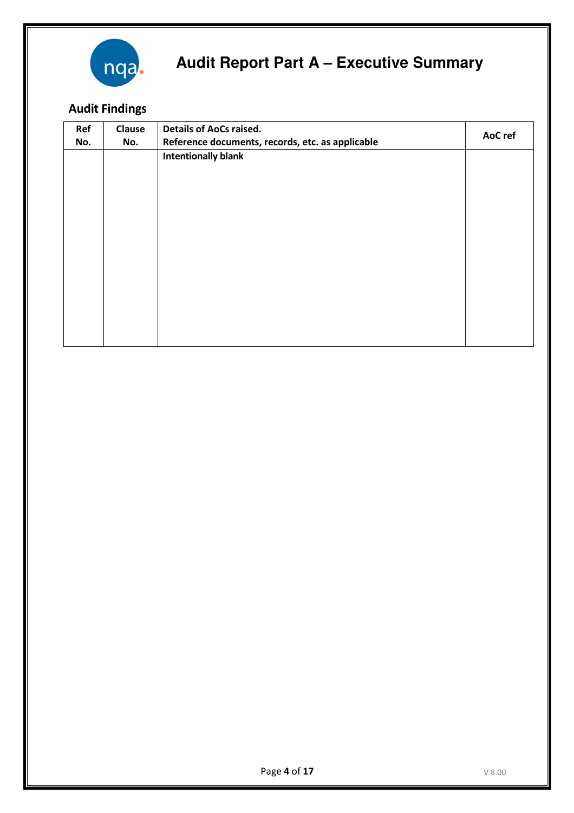

### Audit Findings

| Ref<br>No. | <b>Clause</b><br>No. | <b>Details of AoCs raised.</b><br>Reference documents, records, etc. as applicable | AoC ref |
|------------|----------------------|------------------------------------------------------------------------------------|---------|
|            |                      | <b>Intentionally blank</b>                                                         |         |
|            |                      |                                                                                    |         |
|            |                      |                                                                                    |         |
|            |                      |                                                                                    |         |
|            |                      |                                                                                    |         |
|            |                      |                                                                                    |         |
|            |                      |                                                                                    |         |
|            |                      |                                                                                    |         |
|            |                      |                                                                                    |         |
|            |                      |                                                                                    |         |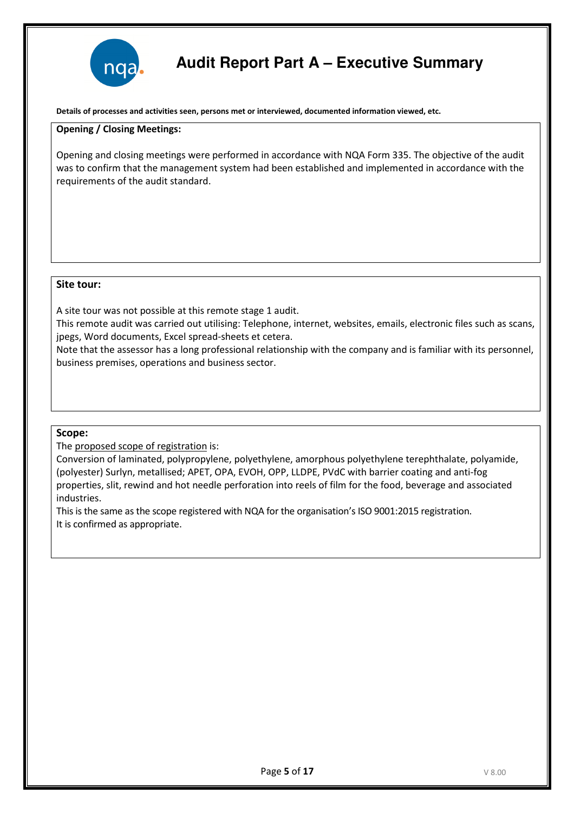

Details of processes and activities seen, persons met or interviewed, documented information viewed, etc.

#### Opening / Closing Meetings:

Opening and closing meetings were performed in accordance with NQA Form 335. The objective of the audit was to confirm that the management system had been established and implemented in accordance with the requirements of the audit standard.

#### Site tour:

A site tour was not possible at this remote stage 1 audit.

This remote audit was carried out utilising: Telephone, internet, websites, emails, electronic files such as scans, jpegs, Word documents, Excel spread-sheets et cetera.

Note that the assessor has a long professional relationship with the company and is familiar with its personnel, business premises, operations and business sector.

### Scope:

The proposed scope of registration is:

Conversion of laminated, polypropylene, polyethylene, amorphous polyethylene terephthalate, polyamide, (polyester) Surlyn, metallised; APET, OPA, EVOH, OPP, LLDPE, PVdC with barrier coating and anti-fog properties, slit, rewind and hot needle perforation into reels of film for the food, beverage and associated industries.

This is the same as the scope registered with NQA for the organisation's ISO 9001:2015 registration. It is confirmed as appropriate.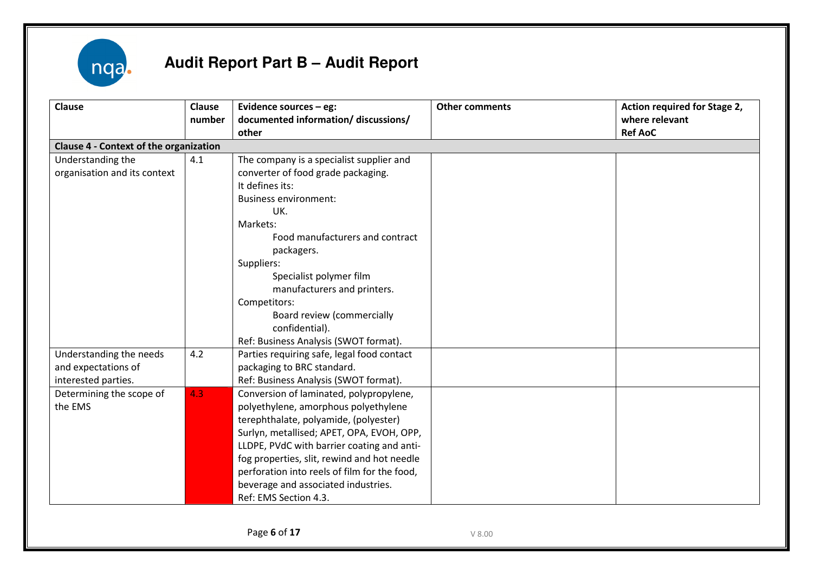

| <b>Clause</b>                                 | Clause | Evidence sources - eg:                       | <b>Other comments</b> | Action required for Stage 2, |
|-----------------------------------------------|--------|----------------------------------------------|-----------------------|------------------------------|
|                                               | number | documented information/ discussions/         |                       | where relevant               |
|                                               |        | other                                        |                       | <b>Ref AoC</b>               |
| <b>Clause 4 - Context of the organization</b> |        |                                              |                       |                              |
| Understanding the                             | 4.1    | The company is a specialist supplier and     |                       |                              |
| organisation and its context                  |        | converter of food grade packaging.           |                       |                              |
|                                               |        | It defines its:                              |                       |                              |
|                                               |        | <b>Business environment:</b>                 |                       |                              |
|                                               |        | UK.                                          |                       |                              |
|                                               |        | Markets:                                     |                       |                              |
|                                               |        | Food manufacturers and contract              |                       |                              |
|                                               |        | packagers.                                   |                       |                              |
|                                               |        | Suppliers:                                   |                       |                              |
|                                               |        | Specialist polymer film                      |                       |                              |
|                                               |        | manufacturers and printers.                  |                       |                              |
|                                               |        | Competitors:                                 |                       |                              |
|                                               |        | Board review (commercially                   |                       |                              |
|                                               |        | confidential).                               |                       |                              |
|                                               |        | Ref: Business Analysis (SWOT format).        |                       |                              |
| Understanding the needs                       | 4.2    | Parties requiring safe, legal food contact   |                       |                              |
| and expectations of                           |        | packaging to BRC standard.                   |                       |                              |
| interested parties.                           |        | Ref: Business Analysis (SWOT format).        |                       |                              |
| Determining the scope of                      | 4.3    | Conversion of laminated, polypropylene,      |                       |                              |
| the EMS                                       |        | polyethylene, amorphous polyethylene         |                       |                              |
|                                               |        | terephthalate, polyamide, (polyester)        |                       |                              |
|                                               |        | Surlyn, metallised; APET, OPA, EVOH, OPP,    |                       |                              |
|                                               |        | LLDPE, PVdC with barrier coating and anti-   |                       |                              |
|                                               |        | fog properties, slit, rewind and hot needle  |                       |                              |
|                                               |        | perforation into reels of film for the food, |                       |                              |
|                                               |        | beverage and associated industries.          |                       |                              |
|                                               |        | Ref: EMS Section 4.3.                        |                       |                              |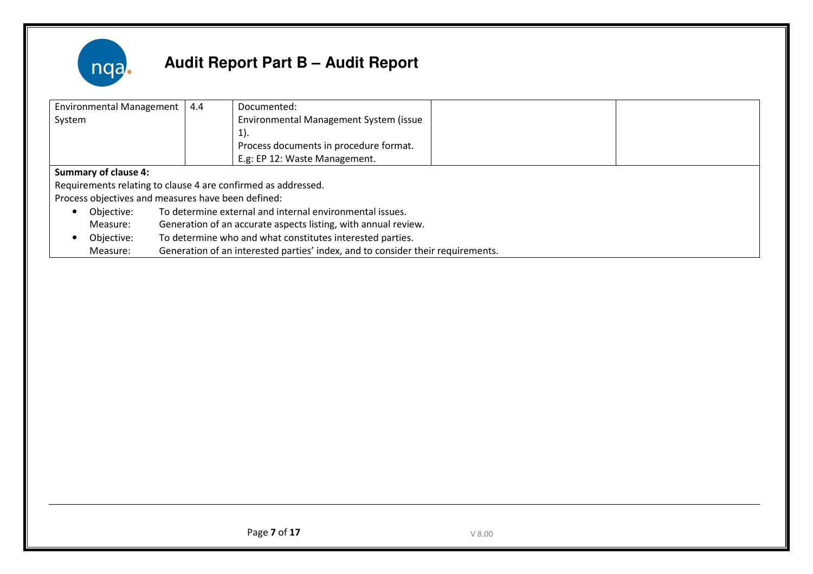

| <b>Environmental Management</b>                               | 4.4 | Documented:                                                                     |
|---------------------------------------------------------------|-----|---------------------------------------------------------------------------------|
| System                                                        |     | Environmental Management System (issue                                          |
|                                                               |     | $1$ ).                                                                          |
|                                                               |     | Process documents in procedure format.                                          |
|                                                               |     | E.g: EP 12: Waste Management.                                                   |
| <b>Summary of clause 4:</b>                                   |     |                                                                                 |
| Requirements relating to clause 4 are confirmed as addressed. |     |                                                                                 |
| Process objectives and measures have been defined:            |     |                                                                                 |
| Objective:                                                    |     | To determine external and internal environmental issues.                        |
| Measure:                                                      |     | Generation of an accurate aspects listing, with annual review.                  |
| Objective:                                                    |     | To determine who and what constitutes interested parties.                       |
| Measure:                                                      |     | Generation of an interested parties' index, and to consider their requirements. |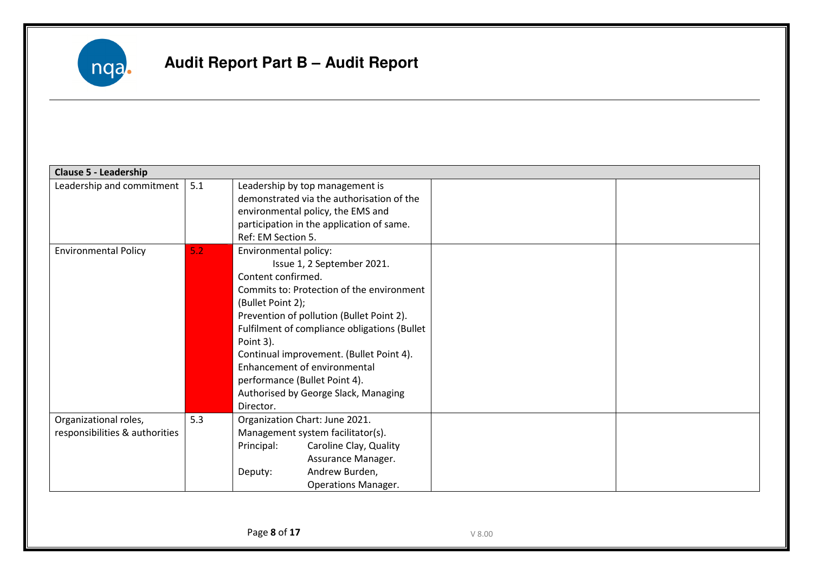

| <b>Clause 5 - Leadership</b>                            |     |                                                                                                                                                                                                                                                                                                                                                                                                                         |
|---------------------------------------------------------|-----|-------------------------------------------------------------------------------------------------------------------------------------------------------------------------------------------------------------------------------------------------------------------------------------------------------------------------------------------------------------------------------------------------------------------------|
| Leadership and commitment                               | 5.1 | Leadership by top management is<br>demonstrated via the authorisation of the<br>environmental policy, the EMS and<br>participation in the application of same.<br>Ref: EM Section 5.                                                                                                                                                                                                                                    |
| <b>Environmental Policy</b>                             | 5.2 | Environmental policy:<br>Issue 1, 2 September 2021.<br>Content confirmed.<br>Commits to: Protection of the environment<br>(Bullet Point 2);<br>Prevention of pollution (Bullet Point 2).<br>Fulfilment of compliance obligations (Bullet<br>Point 3).<br>Continual improvement. (Bullet Point 4).<br>Enhancement of environmental<br>performance (Bullet Point 4).<br>Authorised by George Slack, Managing<br>Director. |
| Organizational roles,<br>responsibilities & authorities | 5.3 | Organization Chart: June 2021.<br>Management system facilitator(s).<br>Principal:<br>Caroline Clay, Quality<br>Assurance Manager.<br>Andrew Burden,<br>Deputy:<br><b>Operations Manager.</b>                                                                                                                                                                                                                            |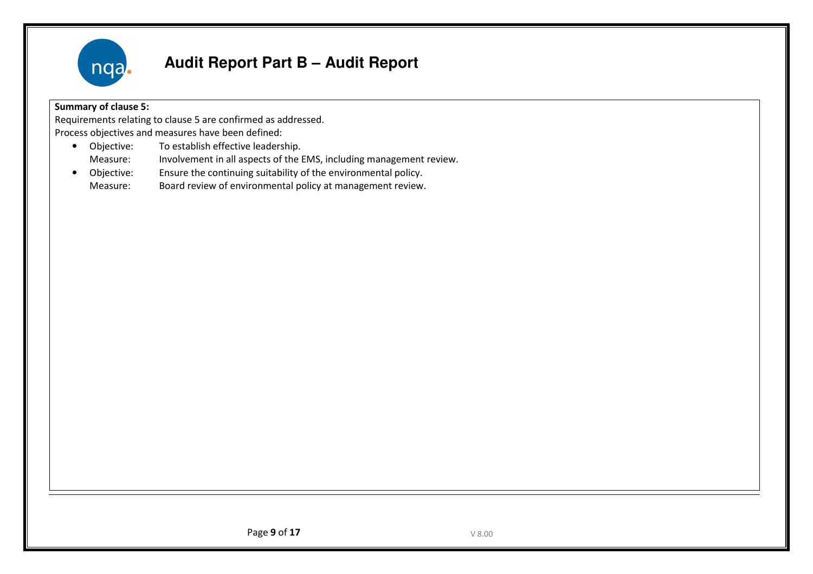

### Summary of clause 5:

 Requirements relating to clause 5 are confirmed as addressed. Process objectives and measures have been defined:

- Objective: Objective: To establish effective leadership.<br>Measure: Involvement in all aspects of the I Involvement in all aspects of the EMS, including management review. • Objective:
- Objective: Ensure the continuing suitability of the environmental policy.<br>Measure: Board review of environmental policy at management review. Board review of environmental policy at management review.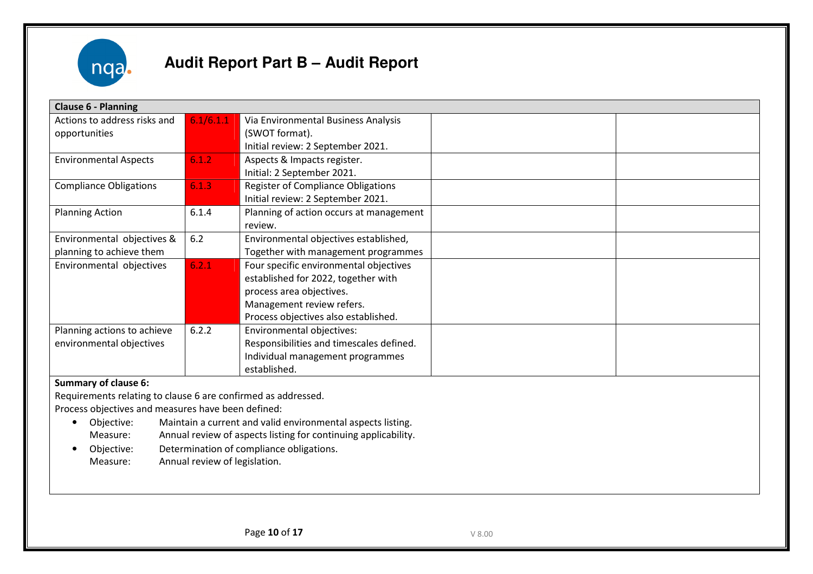

| <b>Clause 6 - Planning</b>    |           |                                           |  |
|-------------------------------|-----------|-------------------------------------------|--|
| Actions to address risks and  | 6.1/6.1.1 | Via Environmental Business Analysis       |  |
| opportunities                 |           | (SWOT format).                            |  |
|                               |           | Initial review: 2 September 2021.         |  |
| <b>Environmental Aspects</b>  | 6.1.2     | Aspects & Impacts register.               |  |
|                               |           | Initial: 2 September 2021.                |  |
| <b>Compliance Obligations</b> | 6.1.3     | <b>Register of Compliance Obligations</b> |  |
|                               |           | Initial review: 2 September 2021.         |  |
| <b>Planning Action</b>        | 6.1.4     | Planning of action occurs at management   |  |
|                               |           | review.                                   |  |
| Environmental objectives &    | 6.2       | Environmental objectives established,     |  |
| planning to achieve them      |           | Together with management programmes       |  |
| Environmental objectives      | 6.2.1     | Four specific environmental objectives    |  |
|                               |           | established for 2022, together with       |  |
|                               |           | process area objectives.                  |  |
|                               |           | Management review refers.                 |  |
|                               |           | Process objectives also established.      |  |
| Planning actions to achieve   | 6.2.2     | Environmental objectives:                 |  |
| environmental objectives      |           | Responsibilities and timescales defined.  |  |
|                               |           | Individual management programmes          |  |
|                               |           | established.                              |  |
| Summary of clause 6.          |           |                                           |  |

### Summary of clause 6:

Requirements relating to clause 6 are confirmed as addressed.

Process objectives and measures have been defined:

- Objective: Objective: Maintain a current and valid environmental aspects listing.<br>Measure: Annual review of aspects listing for continuing applicability Annual review of aspects listing for continuing applicability.
- Objective: Objective: Determination of compliance obligations.<br>
Measure: Annual review of legislation.
	- Annual review of legislation.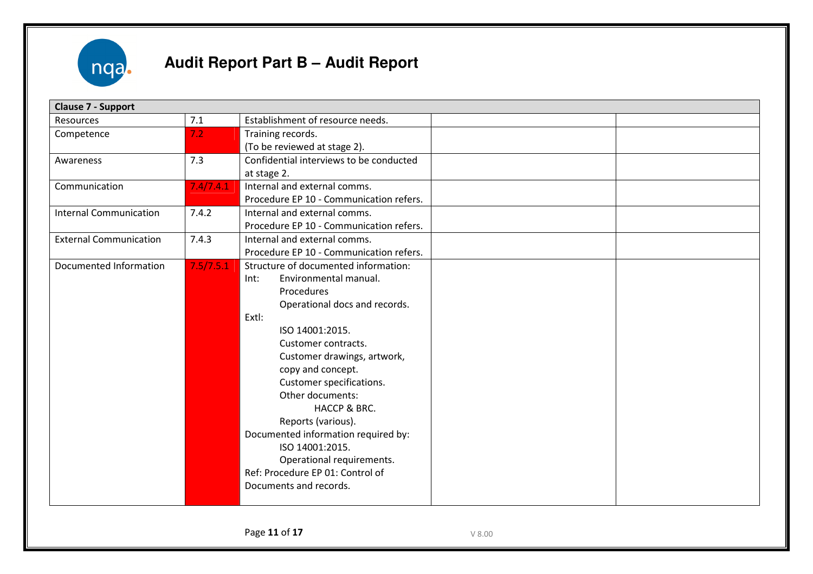

| <b>Clause 7 - Support</b>     |           |                                                                                                                                                                                                                                                                                                                                                                                                                                                                        |  |
|-------------------------------|-----------|------------------------------------------------------------------------------------------------------------------------------------------------------------------------------------------------------------------------------------------------------------------------------------------------------------------------------------------------------------------------------------------------------------------------------------------------------------------------|--|
| Resources                     | 7.1       | Establishment of resource needs.                                                                                                                                                                                                                                                                                                                                                                                                                                       |  |
| Competence                    | 7.2       | Training records.<br>(To be reviewed at stage 2).                                                                                                                                                                                                                                                                                                                                                                                                                      |  |
| Awareness                     | 7.3       | Confidential interviews to be conducted<br>at stage 2.                                                                                                                                                                                                                                                                                                                                                                                                                 |  |
| Communication                 | 7.4/7.4.1 | Internal and external comms.<br>Procedure EP 10 - Communication refers.                                                                                                                                                                                                                                                                                                                                                                                                |  |
| <b>Internal Communication</b> | 7.4.2     | Internal and external comms.<br>Procedure EP 10 - Communication refers.                                                                                                                                                                                                                                                                                                                                                                                                |  |
| <b>External Communication</b> | 7.4.3     | Internal and external comms.<br>Procedure EP 10 - Communication refers.                                                                                                                                                                                                                                                                                                                                                                                                |  |
| Documented Information        | 7.5/7.5.1 | Structure of documented information:<br>Environmental manual.<br>Int:<br>Procedures<br>Operational docs and records.<br>Extl:<br>ISO 14001:2015.<br>Customer contracts.<br>Customer drawings, artwork,<br>copy and concept.<br>Customer specifications.<br>Other documents:<br>HACCP & BRC.<br>Reports (various).<br>Documented information required by:<br>ISO 14001:2015.<br>Operational requirements.<br>Ref: Procedure EP 01: Control of<br>Documents and records. |  |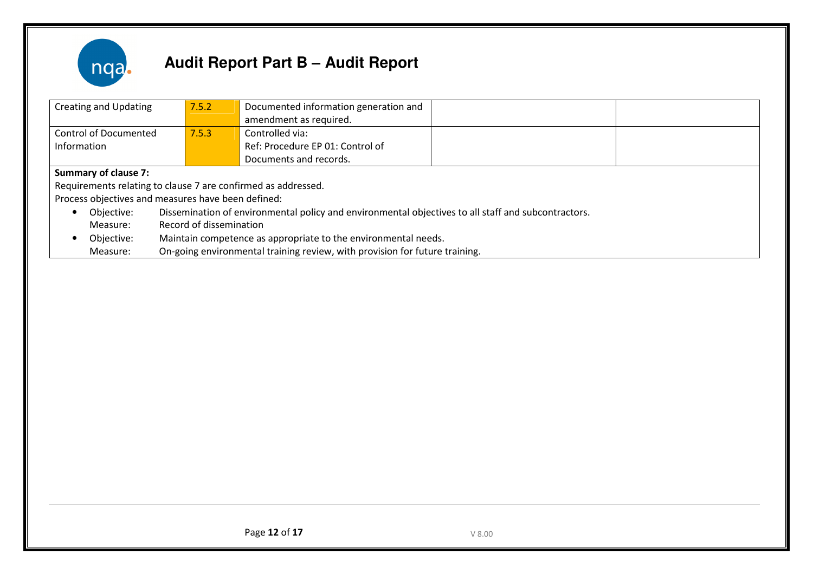

| Creating and Updating                                                                                             | 7.5.2 | Documented information generation and |  |  |
|-------------------------------------------------------------------------------------------------------------------|-------|---------------------------------------|--|--|
|                                                                                                                   |       | amendment as required.                |  |  |
| <b>Control of Documented</b>                                                                                      | 7.5.3 | Controlled via:                       |  |  |
| Information                                                                                                       |       | Ref: Procedure EP 01: Control of      |  |  |
|                                                                                                                   |       | Documents and records.                |  |  |
| <b>Summary of clause 7:</b>                                                                                       |       |                                       |  |  |
| Requirements relating to clause 7 are confirmed as addressed.                                                     |       |                                       |  |  |
| Process objectives and measures have been defined:                                                                |       |                                       |  |  |
| Dissemination of environmental policy and environmental objectives to all staff and subcontractors.<br>Objective: |       |                                       |  |  |
| Record of dissemination<br>Measure:                                                                               |       |                                       |  |  |
| Maintain competence as appropriate to the environmental needs.<br>Objective:                                      |       |                                       |  |  |
| On-going environmental training review, with provision for future training.<br>Measure:                           |       |                                       |  |  |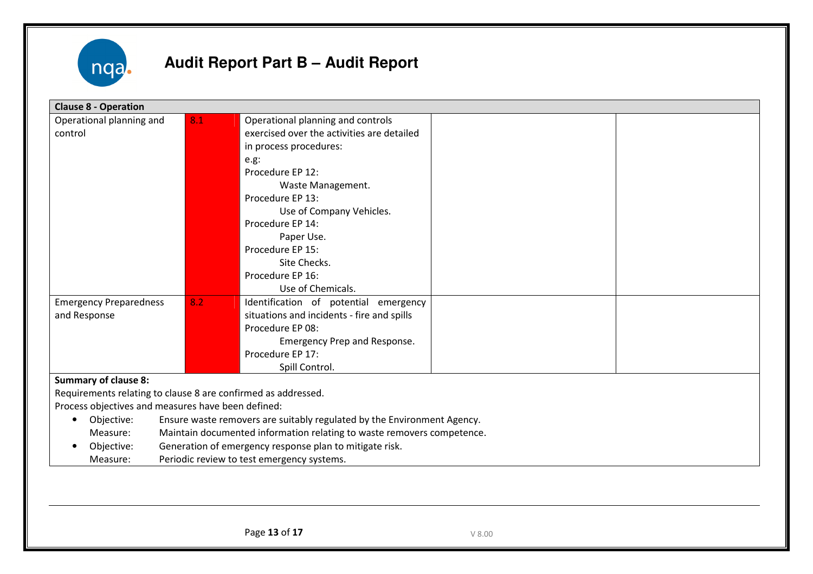

| <b>Clause 8 - Operation</b>                                   |     |                                                                         |  |
|---------------------------------------------------------------|-----|-------------------------------------------------------------------------|--|
| Operational planning and                                      | 8.1 | Operational planning and controls                                       |  |
| control                                                       |     | exercised over the activities are detailed                              |  |
|                                                               |     | in process procedures:                                                  |  |
|                                                               |     | e.g:                                                                    |  |
|                                                               |     | Procedure EP 12:                                                        |  |
|                                                               |     | Waste Management.                                                       |  |
|                                                               |     | Procedure EP 13:                                                        |  |
|                                                               |     | Use of Company Vehicles.                                                |  |
|                                                               |     | Procedure EP 14:                                                        |  |
|                                                               |     | Paper Use.                                                              |  |
|                                                               |     | Procedure EP 15:                                                        |  |
|                                                               |     | Site Checks.                                                            |  |
|                                                               |     | Procedure EP 16:                                                        |  |
|                                                               |     | Use of Chemicals.                                                       |  |
| <b>Emergency Preparedness</b>                                 | 8.2 | Identification of potential emergency                                   |  |
| and Response                                                  |     | situations and incidents - fire and spills                              |  |
|                                                               |     | Procedure EP 08:                                                        |  |
|                                                               |     | Emergency Prep and Response.                                            |  |
|                                                               |     | Procedure EP 17:                                                        |  |
|                                                               |     | Spill Control.                                                          |  |
| <b>Summary of clause 8:</b>                                   |     |                                                                         |  |
| Requirements relating to clause 8 are confirmed as addressed. |     |                                                                         |  |
| Process objectives and measures have been defined:            |     |                                                                         |  |
| Objective:<br>$\bullet$                                       |     | Ensure waste removers are suitably regulated by the Environment Agency. |  |
| Measure:                                                      |     | Maintain documented information relating to waste removers competence.  |  |
| Objective:<br>$\bullet$                                       |     | Generation of emergency response plan to mitigate risk.                 |  |
| Measure:                                                      |     | Periodic review to test emergency systems.                              |  |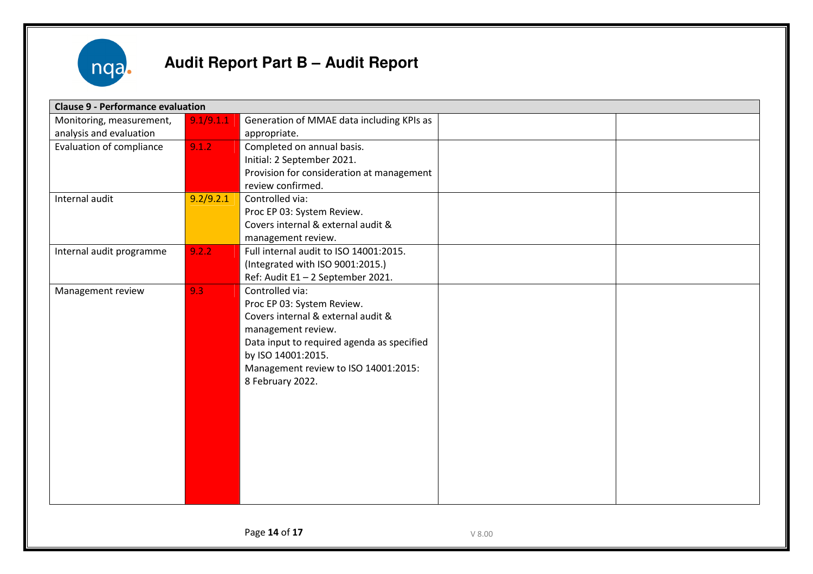

| <b>Clause 9 - Performance evaluation</b> |           |                                            |  |  |  |
|------------------------------------------|-----------|--------------------------------------------|--|--|--|
| Monitoring, measurement,                 | 9.1/9.1.1 | Generation of MMAE data including KPIs as  |  |  |  |
| analysis and evaluation                  |           | appropriate.                               |  |  |  |
| Evaluation of compliance                 | 9.1.2     | Completed on annual basis.                 |  |  |  |
|                                          |           | Initial: 2 September 2021.                 |  |  |  |
|                                          |           | Provision for consideration at management  |  |  |  |
|                                          |           | review confirmed.                          |  |  |  |
| Internal audit                           | 9.2/9.2.1 | Controlled via:                            |  |  |  |
|                                          |           | Proc EP 03: System Review.                 |  |  |  |
|                                          |           | Covers internal & external audit &         |  |  |  |
|                                          |           | management review.                         |  |  |  |
| Internal audit programme                 | 9.2.2     | Full internal audit to ISO 14001:2015.     |  |  |  |
|                                          |           | (Integrated with ISO 9001:2015.)           |  |  |  |
|                                          |           | Ref: Audit E1-2 September 2021.            |  |  |  |
| Management review                        | 9.3       | Controlled via:                            |  |  |  |
|                                          |           | Proc EP 03: System Review.                 |  |  |  |
|                                          |           | Covers internal & external audit &         |  |  |  |
|                                          |           | management review.                         |  |  |  |
|                                          |           | Data input to required agenda as specified |  |  |  |
|                                          |           | by ISO 14001:2015.                         |  |  |  |
|                                          |           | Management review to ISO 14001:2015:       |  |  |  |
|                                          |           | 8 February 2022.                           |  |  |  |
|                                          |           |                                            |  |  |  |
|                                          |           |                                            |  |  |  |
|                                          |           |                                            |  |  |  |
|                                          |           |                                            |  |  |  |
|                                          |           |                                            |  |  |  |
|                                          |           |                                            |  |  |  |
|                                          |           |                                            |  |  |  |
|                                          |           |                                            |  |  |  |
|                                          |           |                                            |  |  |  |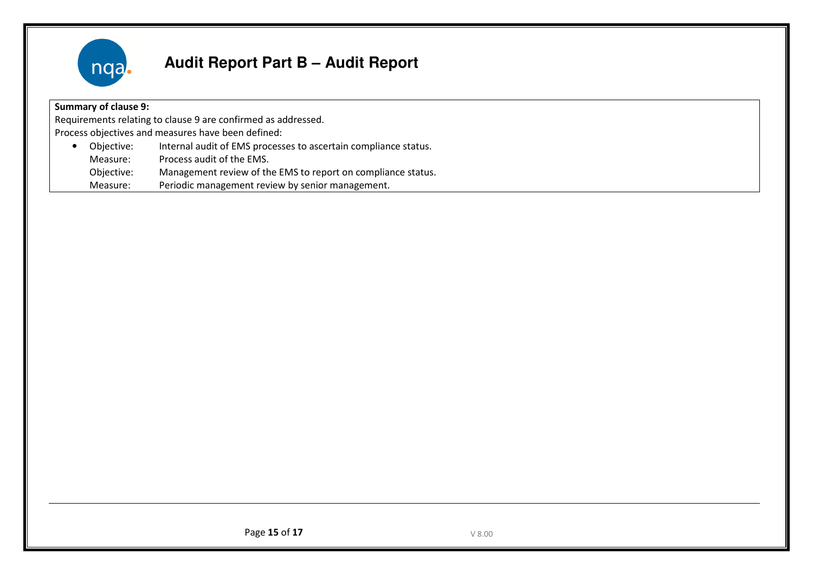

### Summary of clause 9:

Requirements relating to clause 9 are confirmed as addressed.

Process objectives and measures have been defined:

| • Objective: | Internal audit of EMS processes to ascertain compliance status. |
|--------------|-----------------------------------------------------------------|
| Measure:     | Process audit of the EMS.                                       |
| Objective:   | Management review of the EMS to report on compliance status.    |
| Measure:     | Periodic management review by senior management.                |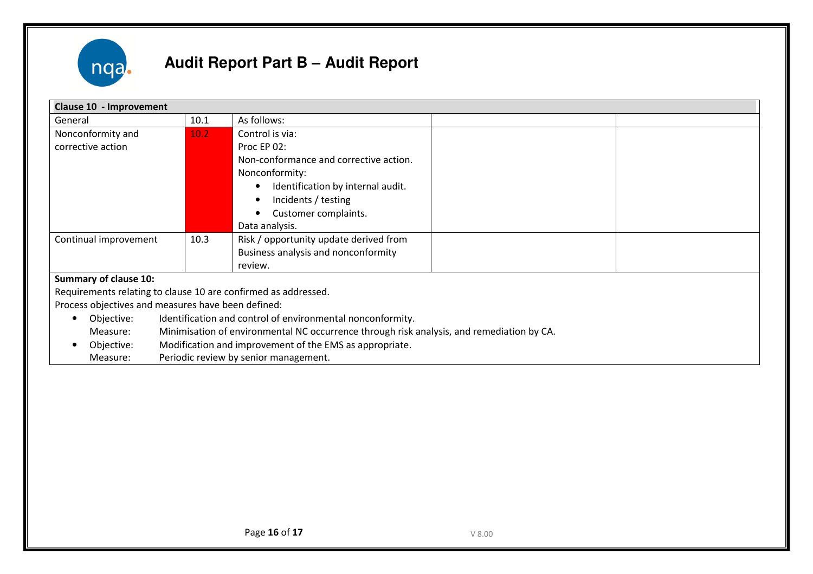

| Clause 10 - Improvement                                        |                                                                                           |                                        |  |  |  |
|----------------------------------------------------------------|-------------------------------------------------------------------------------------------|----------------------------------------|--|--|--|
| General                                                        | 10.1                                                                                      | As follows:                            |  |  |  |
| Nonconformity and                                              | 10.2                                                                                      | Control is via:                        |  |  |  |
| corrective action                                              |                                                                                           | Proc EP 02:                            |  |  |  |
|                                                                |                                                                                           | Non-conformance and corrective action. |  |  |  |
|                                                                |                                                                                           | Nonconformity:                         |  |  |  |
|                                                                |                                                                                           | Identification by internal audit.      |  |  |  |
|                                                                |                                                                                           | Incidents / testing                    |  |  |  |
|                                                                |                                                                                           | Customer complaints.                   |  |  |  |
|                                                                |                                                                                           | Data analysis.                         |  |  |  |
| Continual improvement                                          | 10.3                                                                                      | Risk / opportunity update derived from |  |  |  |
|                                                                |                                                                                           | Business analysis and nonconformity    |  |  |  |
|                                                                |                                                                                           | review.                                |  |  |  |
| <b>Summary of clause 10:</b>                                   |                                                                                           |                                        |  |  |  |
| Requirements relating to clause 10 are confirmed as addressed. |                                                                                           |                                        |  |  |  |
| Process objectives and measures have been defined:             |                                                                                           |                                        |  |  |  |
| Objective:                                                     | Identification and control of environmental nonconformity.                                |                                        |  |  |  |
| Measure:                                                       | Minimisation of environmental NC occurrence through risk analysis, and remediation by CA. |                                        |  |  |  |
| $\bigcap_{n=1}^{\infty}$                                       | Madification and improvement of the FMC as appropriate                                    |                                        |  |  |  |

•Objective: Modification and improvement of the EMS as appropriate.<br>Measure: Periodic review by senior management.

Periodic review by senior management.